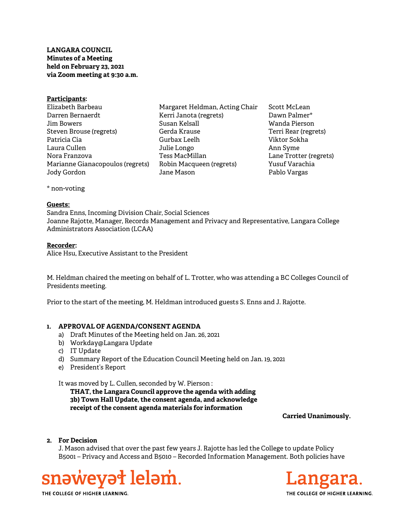# LANGARA COUNCIL Minutes of a Meeting held on February 23, 2021 via Zoom meeting at 9:30 a.m.

| <u> Participants:</u>            |                                |
|----------------------------------|--------------------------------|
| Elizabeth Barbeau                | Margaret Heldman, Acting Chair |
| Darren Bernaerdt                 | Kerri Janota (regrets)         |
| Jim Bowers                       | Susan Kelsall                  |
| Steven Brouse (regrets)          | Gerda Krause                   |
| Patricia Cia                     | Gurbax Leelh                   |
| Laura Cullen                     | Julie Longo                    |
| Nora Franzova                    | Tess MacMillan                 |
| Marianne Gianacopoulos (regrets) | Robin Macqueen (regrets)       |
| Jody Gordon                      | Jane Mason                     |
|                                  |                                |

Scott McLean Dawn Palmer\* Wanda Pierson Terri Rear (regrets) Viktor Sokha Ann Syme Lane Trotter (regrets) Yusuf Varachia Pablo Vargas

\* non-voting

#### Guests:

Sandra Enns, Incoming Division Chair, Social Sciences Joanne Rajotte, Manager, Records Management and Privacy and Representative, Langara College Administrators Association (LCAA)

### Recorder:

Alice Hsu, Executive Assistant to the President

M. Heldman chaired the meeting on behalf of L. Trotter, who was attending a BC Colleges Council of Presidents meeting.

Prior to the start of the meeting, M. Heldman introduced guests S. Enns and J. Rajotte.

#### 1. APPROVAL OF AGENDA/CONSENT AGENDA

- a) Draft Minutes of the Meeting held on Jan. 26, 2021
- b) Workday@Langara Update
- c) IT Update
- d) Summary Report of the Education Council Meeting held on Jan. 19, 2021
- e) President's Report

It was moved by L. Cullen, seconded by W. Pierson :

THAT, the Langara Council approve the agenda with adding 3b) Town Hall Update, the consent agenda, and acknowledge receipt of the consent agenda materials for information

Carried Unanimously.

## 2. For Decision

J. Mason advised that over the past few years J. Rajotte has led the College to update Policy B5001 – Privacy and Access and B5010 – Recorded Information Management. Both policies have





THE COLLEGE OF HIGHER LEARNING.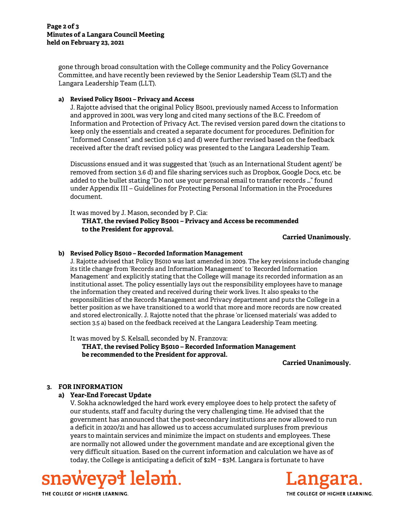gone through broad consultation with the College community and the Policy Governance Committee, and have recently been reviewed by the Senior Leadership Team (SLT) and the Langara Leadership Team (LLT).

## a) Revised Policy B5001 – Privacy and Access

J. Rajotte advised that the original Policy B5001, previously named Access to Information and approved in 2001, was very long and cited many sections of the B.C. Freedom of Information and Protection of Privacy Act. The revised version pared down the citations to keep only the essentials and created a separate document for procedures. Definition for "Informed Consent" and section 3.6 c) and d) were further revised based on the feedback received after the draft revised policy was presented to the Langara Leadership Team.

Discussions ensued and it was suggested that '(such as an International Student agent)' be removed from section 3.6 d) and file sharing services such as Dropbox, Google Docs, etc. be added to the bullet stating "Do not use your personal email to transfer records …" found under Appendix III – Guidelines for Protecting Personal Information in the Procedures document.

It was moved by J. Mason, seconded by P. Cia: THAT, the revised Policy B5001 – Privacy and Access be recommended to the President for approval.

#### Carried Unanimously.

## b) Revised Policy B5010 – Recorded Information Management

J. Rajotte advised that Policy B5010 was last amended in 2009. The key revisions include changing its title change from 'Records and Information Management' to 'Recorded Information Management' and explicitly stating that the College will manage its recorded information as an institutional asset. The policy essentially lays out the responsibility employees have to manage the information they created and received during their work lives. It also speaks to the responsibilities of the Records Management and Privacy department and puts the College in a better position as we have transitioned to a world that more and more records are now created and stored electronically. J. Rajotte noted that the phrase 'or licensed materials' was added to section 3.5 a) based on the feedback received at the Langara Leadership Team meeting.

It was moved by S. Kelsall, seconded by N. Franzova: THAT, the revised Policy B5010 – Recorded Information Management be recommended to the President for approval.

Carried Unanimously.

# 3. FOR INFORMATION

## a) Year-End Forecast Update

V. Sokha acknowledged the hard work every employee does to help protect the safety of our students, staff and faculty during the very challenging time. He advised that the government has announced that the post-secondary institutions are now allowed to run a deficit in 2020/21 and has allowed us to access accumulated surpluses from previous years to maintain services and minimize the impact on students and employees. These are normally not allowed under the government mandate and are exceptional given the very difficult situation. Based on the current information and calculation we have as of today, the College is anticipating a deficit of \$2M ~ \$3M. Langara is fortunate to have





THE COLLEGE OF HIGHER LEARNING.